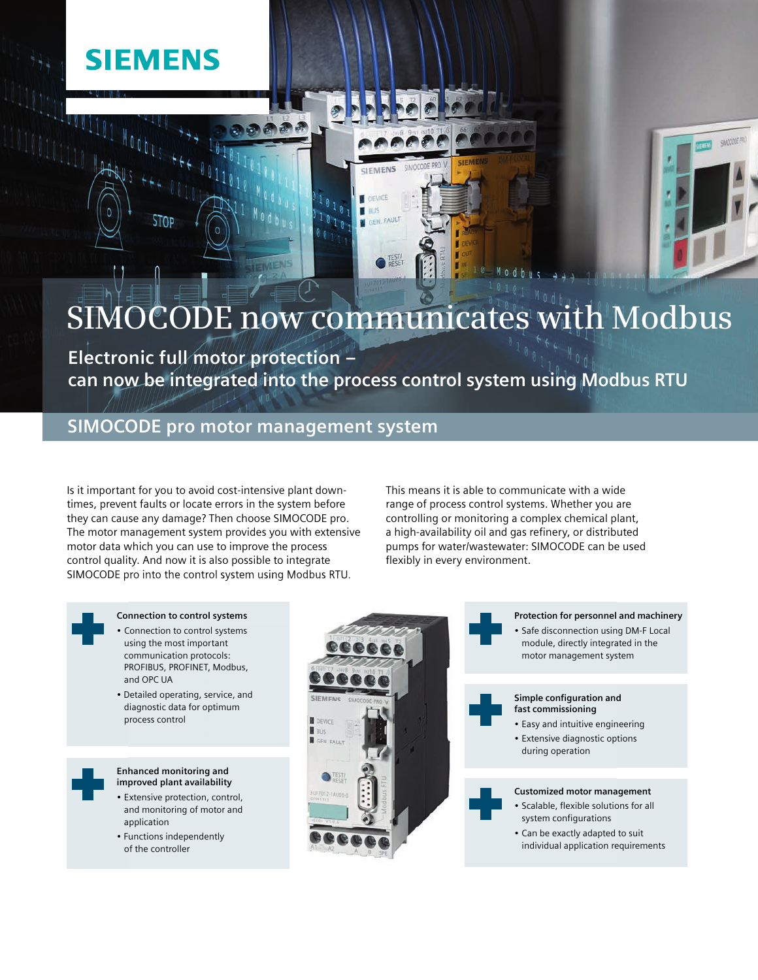## **SIEMENS**

STOP

# **SIMOCODE now communicates with Modbus**

 $\bigcap$   $\overline{\text{test}}$ 

**Electronic full motor protection – can now be integrated into the process control system using Modbus RTU**

CIEMENS

JEVICE **SEN FAULT** 

### **SIMOCODE pro motor management system**

Is it important for you to avoid cost-intensive plant downtimes, prevent faults or locate errors in the system before they can cause any damage? Then choose SIMOCODE pro. The motor management system provides you with extensive motor data which you can use to improve the process control quality. And now it is also possible to integrate SIMOCODE pro into the control system using Modbus RTU.

This means it is able to communicate with a wide range of process control systems. Whether you are controlling or monitoring a complex chemical plant, a high-availability oil and gas refinery, or distributed pumps for water/wastewater: SIMOCODE can be used flexibly in every environment.

#### **Connection to control systems**

- Connection to control systems using the most important communication protocols: PROFIBUS, PROFINET, Modbus, and OPC UA
- Detailed operating, service, and diagnostic data for optimum process control

#### **Enhanced monitoring and improved plant availability**

- Extensive protection, control, and monitoring of motor and application
- Functions independently of the controller





**SMOCKERS**